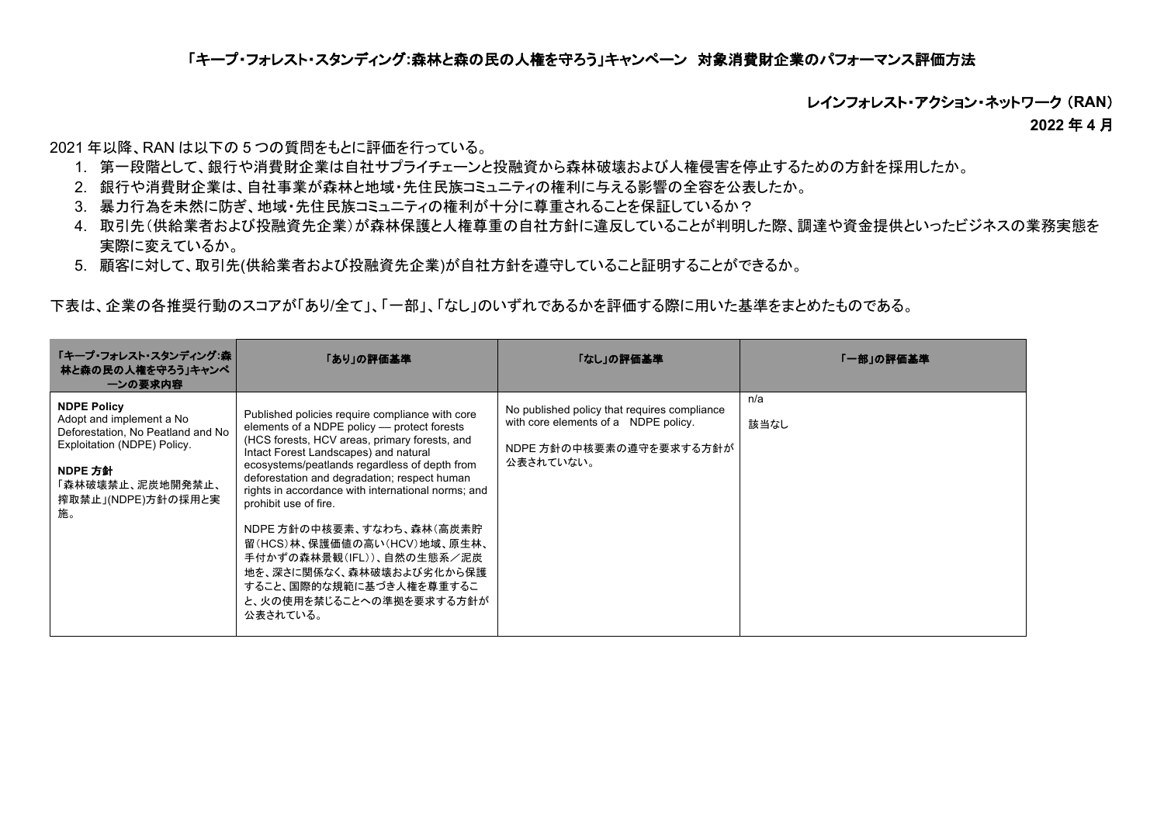# 「キープ・フォレスト・スタンディング**:**森林と森の民の人権を守ろう」キャンペーン 対象消費財企業のパフォーマンス評価方法

レインフォレスト・アクション・ネットワーク (**RAN**)

**2022** 年 **4** 月

2021 年以降、RAN は以下の 5 つの質問をもとに評価を行っている。

- 1. 第一段階として、銀行や消費財企業は自社サプライチェーンと投融資から森林破壊および人権侵害を停止するための方針を採用したか。
- 2. 銀行や消費財企業は、自社事業が森林と地域・先住民族コミュニティの権利に与える影響の全容を公表したか。
- 3. 暴力行為を未然に防ぎ、地域・先住民族コミュニティの権利が十分に尊重されることを保証しているか?
- 4. 取引先(供給業者および投融資先企業)が森林保護と人権尊重の自社方針に違反していることが判明した際、調達や資金提供といったビジネスの業務実態を 実際に変えているか。
- 5. 顧客に対して、取引先(供給業者および投融資先企業)が自社方針を遵守していること証明することができるか。

下表は、企業の各推奨行動のスコアが「あり/全て」、「一部」、「なし」のいずれであるかを評価する際に用いた基準をまとめたものである。

| 「キープ・フォレスト・スタンディング:森  <br>林と森の民の人権を守ろう」キャンペ<br>一ンの要求内容                                                                                                                        | 「あり」の評価基準                                                                                                                                                                                                                                                                                                                                                                                                                                                                                                                                                         | 「なし」の評価基準                                                                                                                    | 「一部」の評価基準   |
|-------------------------------------------------------------------------------------------------------------------------------------------------------------------------------|-------------------------------------------------------------------------------------------------------------------------------------------------------------------------------------------------------------------------------------------------------------------------------------------------------------------------------------------------------------------------------------------------------------------------------------------------------------------------------------------------------------------------------------------------------------------|------------------------------------------------------------------------------------------------------------------------------|-------------|
| <b>NDPE Policy</b><br>Adopt and implement a No<br>Deforestation, No Peatland and No<br>Exploitation (NDPE) Policy.<br>NDPE 方針<br>「森林破壊禁止、泥炭地開発禁止、<br>搾取禁止」(NDPE)方針の採用と実<br>施。 | Published policies require compliance with core<br>elements of a NDPE policy -- protect forests<br>(HCS forests, HCV areas, primary forests, and<br>Intact Forest Landscapes) and natural<br>ecosystems/peatlands regardless of depth from<br>deforestation and degradation; respect human<br>rights in accordance with international norms; and<br>prohibit use of fire.<br>NDPE 方針の中核要素、すなわち、森林(高炭素貯<br>留(HCS)林、保護価値の高い(HCV)地域、原生林、<br>手付かずの森林景観(IFL))、自然の生態系/泥炭<br>地を、深さに関係なく、森林破壊および劣化から保護<br>すること、国際的な規範に基づき人権を尊重するこ<br>と、火の使用を禁じることへの準拠を要求する方針が<br>公表されている。 | No published policy that requires compliance<br>with core elements of a NDPE policy.<br>NDPE 方針の中核要素の遵守を要求する方針が<br>公表されていない。 | n/a<br>該当なし |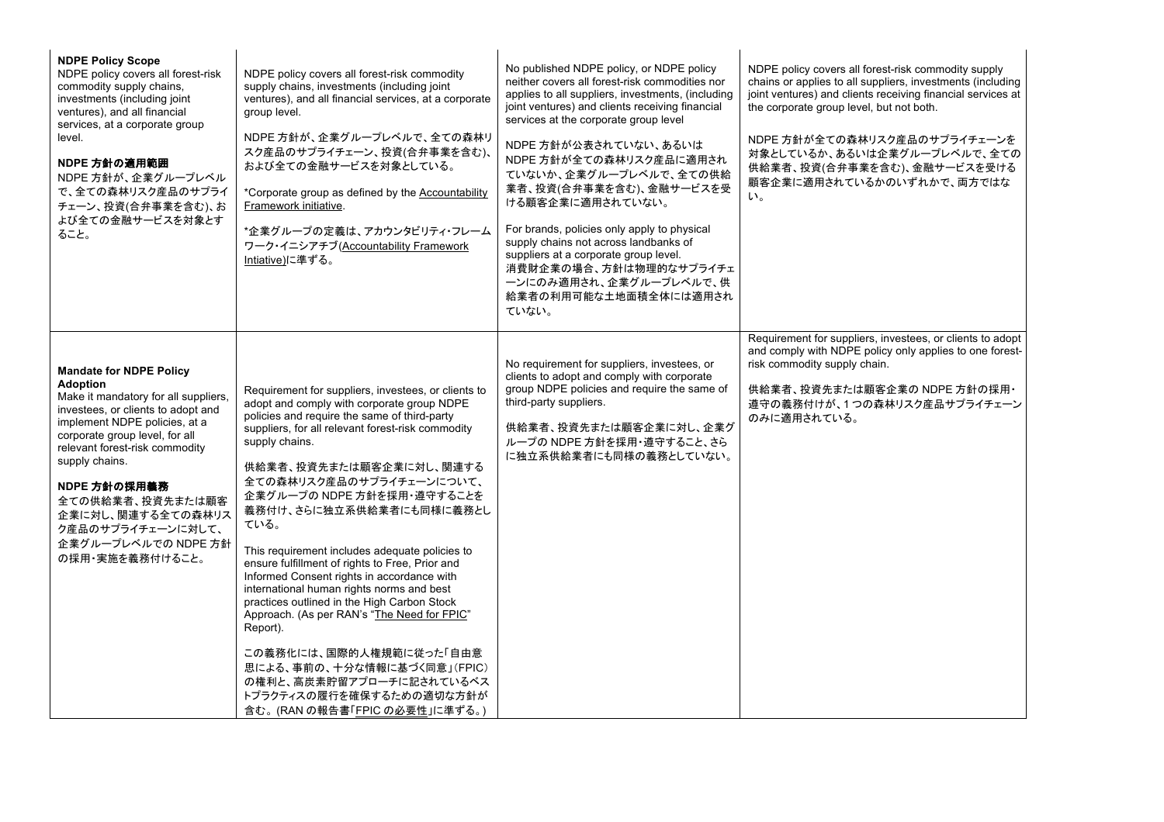| <b>NDPE Policy Scope</b><br>NDPE policy covers all forest-risk<br>commodity supply chains,<br>investments (including joint<br>ventures), and all financial<br>services, at a corporate group<br>level.<br>NDPE 方針の適用範囲<br>NDPE 方針が、企業グループレベル<br>で、全ての森林リスク産品のサプライ<br>チェーン、投資(合弁事業を含む)、お<br>よび全ての金融サービスを対象とす<br>ること。                                                            | NDPE policy covers all forest-risk commodity<br>supply chains, investments (including joint<br>ventures), and all financial services, at a corporate<br>group level.<br>NDPE 方針が、企業グループレベルで、全ての森林リ<br>スク産品のサプライチェーン、投資(合弁事業を含む)、<br>および全ての金融サービスを対象としている。<br>*Corporate group as defined by the Accountability<br>Framework initiative.<br>*企業グループの定義は、アカウンタビリティ・フレーム<br>ワーク・イニシアチブ(Accountability Framework<br>Intiative)に準ずる。                                                                                                                                                                                                                                                                                                                                                                                | No published NDPE policy, or NDPE policy<br>neither covers all forest-risk commodities nor<br>applies to all suppliers, investments, (including<br>joint ventures) and clients receiving financial<br>services at the corporate group level<br>NDPE 方針が公表されていない、あるいは<br>NDPE 方針が全ての森林リスク産品に適用され<br>ていないか、企業グループレベルで、全ての供給<br>業者、投資(合弁事業を含む)、金融サービスを受<br>ける顧客企業に適用されていない。<br>For brands, policies only apply to physical<br>supply chains not across landbanks of<br>suppliers at a corporate group level.<br>消費財企業の場合、方針は物理的なサプライチェ<br>一ンにのみ適用され、企業グループレベルで、供<br>給業者の利用可能な土地面積全体には適用され<br>ていない。 | NDPE policy covers all forest-risk commodity supply<br>chains or applies to all suppliers, investments (including<br>joint ventures) and clients receiving financial services at<br>the corporate group level, but not both.<br>NDPE 方針が全ての森林リスク産品のサプライチェーンを<br>対象としているか、あるいは企業グループレベルで、全ての<br>供給業者、投資(合弁事業を含む)、金融サービスを受ける<br>顧客企業に適用されているかのいずれかで、両方ではな<br>$\mathsf{L}\mathsf{L}_{\alpha}$ |
|--------------------------------------------------------------------------------------------------------------------------------------------------------------------------------------------------------------------------------------------------------------------------------------------------------------------------------------------------------------------------------|----------------------------------------------------------------------------------------------------------------------------------------------------------------------------------------------------------------------------------------------------------------------------------------------------------------------------------------------------------------------------------------------------------------------------------------------------------------------------------------------------------------------------------------------------------------------------------------------------------------------------------------------------------------------------------------------------------------------------------------------------------------------------------------------------------------|-------------------------------------------------------------------------------------------------------------------------------------------------------------------------------------------------------------------------------------------------------------------------------------------------------------------------------------------------------------------------------------------------------------------------------------------------------------------------------------------------------------------------------------------------------------------------------------------------|--------------------------------------------------------------------------------------------------------------------------------------------------------------------------------------------------------------------------------------------------------------------------------------------------------------------------------------------------------------------------------------------|
| <b>Mandate for NDPE Policy</b><br><b>Adoption</b><br>Make it mandatory for all suppliers,<br>investees, or clients to adopt and<br>implement NDPE policies, at a<br>corporate group level, for all<br>relevant forest-risk commodity<br>supply chains.<br>NDPE 方針の採用義務<br>全ての供給業者、投資先または顧客<br>企業に対し、関連する全ての森林リス<br>ク産品のサプライチェーンに対して、<br>企業グループレベルでの NDPE 方針<br>の採用・実施を義務付けること。 | Requirement for suppliers, investees, or clients to<br>adopt and comply with corporate group NDPE<br>policies and require the same of third-party<br>suppliers, for all relevant forest-risk commodity<br>supply chains.<br>供給業者、投資先または顧客企業に対し、関連する<br>全ての森林リスク産品のサプライチェーンについて、<br>企業グループの NDPE 方針を採用·遵守することを<br>義務付け、さらに独立系供給業者にも同様に義務とし<br>ている。<br>This requirement includes adequate policies to<br>ensure fulfillment of rights to Free, Prior and<br>Informed Consent rights in accordance with<br>international human rights norms and best<br>practices outlined in the High Carbon Stock<br>Approach. (As per RAN's "The Need for FPIC"<br>Report).<br>この義務化には、国際的人権規範に従った「自由意<br>思による、事前の、十分な情報に基づく同意」(FPIC)<br>の権利と、高炭素貯留アプローチに記されているベス<br>トプラクティスの履行を確保するための適切な方針が<br>含む。(RAN の報告書「FPIC の必要性」に準ずる。) | No requirement for suppliers, investees, or<br>clients to adopt and comply with corporate<br>group NDPE policies and require the same of<br>third-party suppliers.<br>供給業者、投資先または顧客企業に対し、企業グ<br>ループの NDPE 方針を採用・遵守すること、さら<br>に独立系供給業者にも同様の義務としていない。                                                                                                                                                                                                                                                                                                                                             | Requirement for suppliers, investees, or clients to adopt<br>and comply with NDPE policy only applies to one forest-<br>risk commodity supply chain.<br>供給業者、投資先または顧客企業の NDPE 方針の採用・<br>遵守の義務付けが、1つの森林リスク産品サプライチェーン<br>のみに適用されている。                                                                                                                                                         |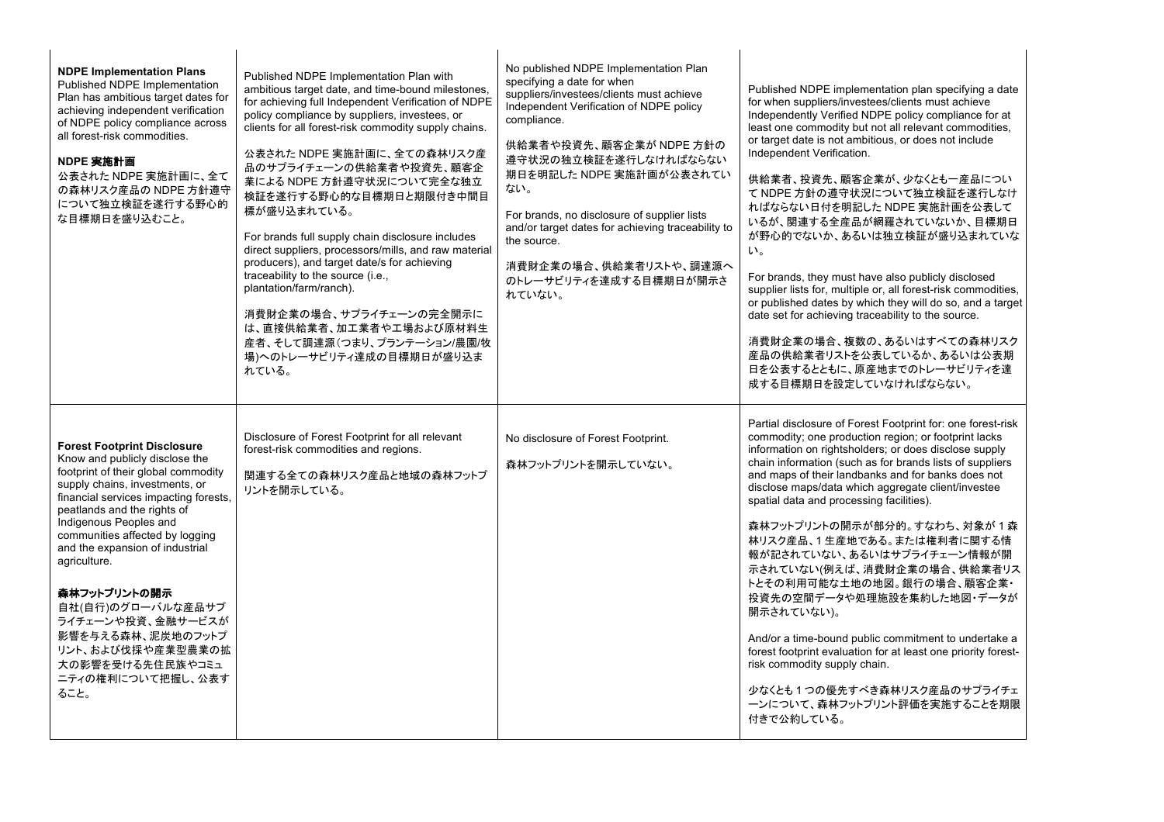| <b>NDPE Implementation Plans</b><br>Published NDPE Implementation<br>Plan has ambitious target dates for<br>achieving independent verification<br>of NDPE policy compliance across<br>all forest-risk commodities.<br>NDPE 実施計画<br>公表された NDPE 実施計画に、全て<br>の森林リスク産品の NDPE 方針遵守<br>について独立検証を遂行する野心的<br>な目標期日を盛り込むこと。                                                                                                                                                                         | Published NDPE Implementation Plan with<br>ambitious target date, and time-bound milestones,<br>for achieving full Independent Verification of NDPE<br>policy compliance by suppliers, investees, or<br>clients for all forest-risk commodity supply chains.<br>公表された NDPE 実施計画に、全ての森林リスク産<br>品のサプライチェーンの供給業者や投資先、顧客企<br>業による NDPE 方針遵守状況について完全な独立<br>検証を遂行する野心的な目標期日と期限付き中間目<br>標が盛り込まれている。<br>For brands full supply chain disclosure includes<br>direct suppliers, processors/mills, and raw material<br>producers), and target date/s for achieving<br>traceability to the source (i.e.,<br>plantation/farm/ranch).<br>消費財企業の場合、サプライチェーンの完全開示に<br>は、直接供給業者、加工業者や工場および原材料生<br>産者、そして調達源(つまり、プランテーション/農園/牧<br>場)へのトレーサビリティ達成の目標期日が盛り込ま<br>れている。 | No published NDPE Implementation Plan<br>specifying a date for when<br>suppliers/investees/clients must achieve<br>Independent Verification of NDPE policy<br>compliance.<br>供給業者や投資先、顧客企業が NDPE 方針の<br>遵守状況の独立検証を遂行しなければならない<br>期日を明記した NDPE 実施計画が公表されてい<br>ない。<br>For brands, no disclosure of supplier lists<br>and/or target dates for achieving traceability to<br>the source.<br>消費財企業の場合、供給業者リストや、調達源へ<br>のトレーサビリティを達成する目標期日が開示さ<br>れていない。 | Published NDPE implementation plan specifying a date<br>for when suppliers/investees/clients must achieve<br>Independently Verified NDPE policy compliance for at<br>least one commodity but not all relevant commodities,<br>or target date is not ambitious, or does not include<br>Independent Verification.<br>供給業者、投資先、顧客企業が、少なくとも一産品につい<br>て NDPE 方針の遵守状況について独立検証を遂行しなけ<br>ればならない日付を明記した NDPE 実施計画を公表して<br>いるが、関連する全産品が網羅されていないか、目標期日<br>が野心的でないか、あるいは独立検証が盛り込まれていな<br>$\mathsf{L}\mathsf{L}\mathsf{L}$<br>For brands, they must have also publicly disclosed<br>supplier lists for, multiple or, all forest-risk commodities,<br>or published dates by which they will do so, and a target<br>date set for achieving traceability to the source.<br>消費財企業の場合、複数の、あるいはすべての森林リスク<br>産品の供給業者リストを公表しているか、あるいは公表期<br>日を公表するとともに、原産地までのトレーサビリティを達<br>成する目標期日を設定していなければならない。 |
|--------------------------------------------------------------------------------------------------------------------------------------------------------------------------------------------------------------------------------------------------------------------------------------------------------------------------------------------------------------------------------------------------------------------------------------------------------------------------------------------|---------------------------------------------------------------------------------------------------------------------------------------------------------------------------------------------------------------------------------------------------------------------------------------------------------------------------------------------------------------------------------------------------------------------------------------------------------------------------------------------------------------------------------------------------------------------------------------------------------------------------------------------------------------------------------------------------------------------------------------------------|---------------------------------------------------------------------------------------------------------------------------------------------------------------------------------------------------------------------------------------------------------------------------------------------------------------------------------------------------------------------------------------------------------------------------------------------------|------------------------------------------------------------------------------------------------------------------------------------------------------------------------------------------------------------------------------------------------------------------------------------------------------------------------------------------------------------------------------------------------------------------------------------------------------------------------------------------------------------------------------------------------------------------------------------------------------------------------------------------------------------------------------------------------------------------------------------------------------------------------------------------------------------------------------------------------------------------------------|
| <b>Forest Footprint Disclosure</b><br>Know and publicly disclose the<br>footprint of their global commodity<br>supply chains, investments, or<br>financial services impacting forests,<br>peatlands and the rights of<br>Indigenous Peoples and<br>communities affected by logging<br>and the expansion of industrial<br>agriculture.<br>森林フットプリントの開示<br>自社(自行)のグローバルな産品サプ<br>ライチェーンや投資、金融サービスが<br>影響を与える森林、泥炭地のフットプ<br>リント、および伐採や産業型農業の拡<br>大の影響を受ける先住民族やコミュ<br>ニティの権利について把握し、公表す<br>ること。 | Disclosure of Forest Footprint for all relevant<br>forest-risk commodities and regions.<br>関連する全ての森林リスク産品と地域の森林フットプ<br>リントを開示している。                                                                                                                                                                                                                                                                                                                                                                                                                                                                                                                                                                                                                | No disclosure of Forest Footprint.<br>森林フットプリントを開示していない。                                                                                                                                                                                                                                                                                                                                                                                          | Partial disclosure of Forest Footprint for: one forest-risk<br>commodity; one production region; or footprint lacks<br>information on rightsholders; or does disclose supply<br>chain information (such as for brands lists of suppliers<br>and maps of their landbanks and for banks does not<br>disclose maps/data which aggregate client/investee<br>spatial data and processing facilities).<br>森林フットプリントの開示が部分的。すなわち、対象が1森<br>林リスク産品、1生産地である。または権利者に関する情<br>報が記されていない、あるいはサプライチェーン情報が開<br>示されていない(例えば、消費財企業の場合、供給業者リス<br>トとその利用可能な土地の地図。銀行の場合、顧客企業・<br>投資先の空間データや処理施設を集約した地図・データが<br>開示されていない)。<br>And/or a time-bound public commitment to undertake a<br>forest footprint evaluation for at least one priority forest-<br>risk commodity supply chain.<br>少なくとも1つの優先すべき森林リスク産品のサプライチェ<br>ーンについて、森林フットプリント評価を実施することを期限<br>付きで公約している。                                   |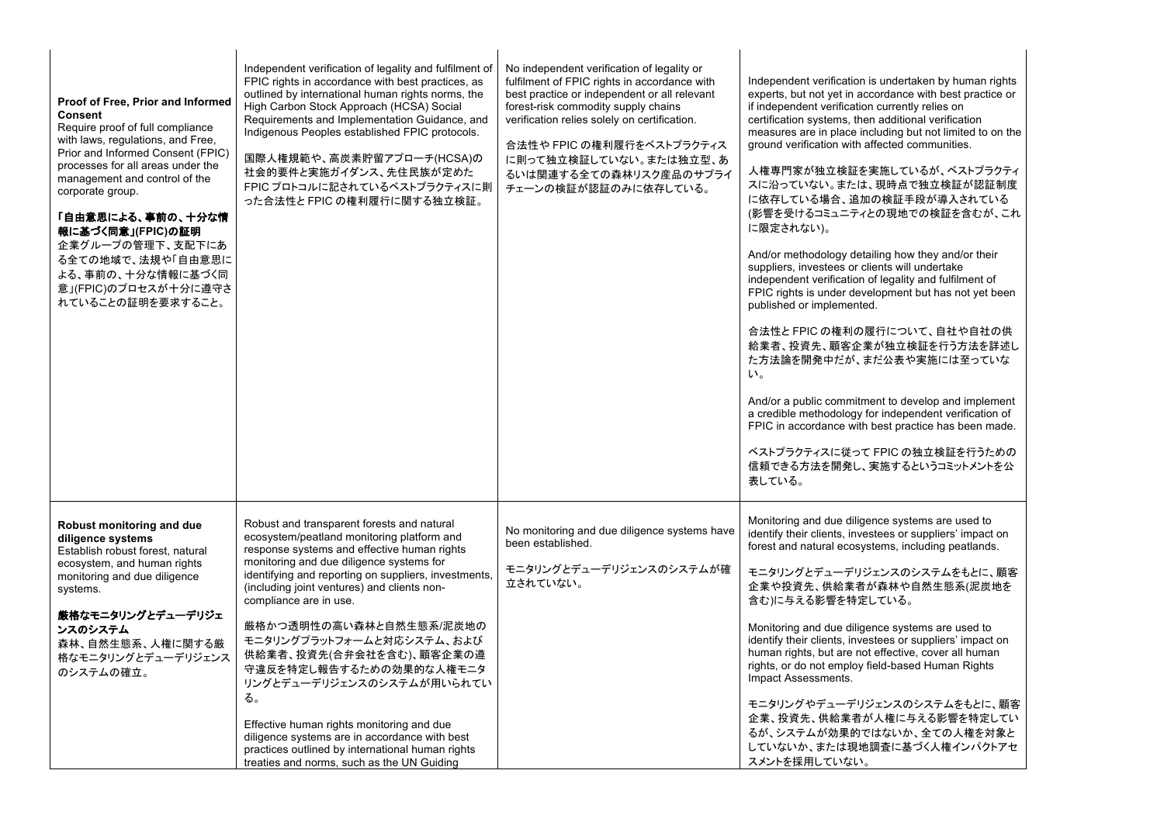| Proof of Free, Prior and Informed<br>Consent<br>Require proof of full compliance<br>with laws, regulations, and Free,<br>Prior and Informed Consent (FPIC)<br>processes for all areas under the<br>management and control of the<br>corporate group.<br>「自由意思による、事前の、十分な情<br>報に基づく同意」(FPIC)の証明<br>企業グループの管理下、支配下にあ<br>る全ての地域で、法規や「自由意思に<br>よる、事前の、十分な情報に基づく同<br>意」(FPIC)のプロセスが十分に遵守さ<br>れていることの証明を要求すること。 | Independent verification of legality and fulfilment of<br>FPIC rights in accordance with best practices, as<br>outlined by international human rights norms, the<br>High Carbon Stock Approach (HCSA) Social<br>Requirements and Implementation Guidance, and<br>Indigenous Peoples established FPIC protocols.<br>国際人権規範や、高炭素貯留アプローチ(HCSA)の<br>社会的要件と実施ガイダンス、先住民族が定めた<br>FPIC プロトコルに記されているベストプラクティスに則<br>った合法性と FPIC の権利履行に関する独立検証。                                                                                                                                                                                                                                   | No independent verification of legality or<br>fulfilment of FPIC rights in accordance with<br>best practice or independent or all relevant<br>forest-risk commodity supply chains<br>verification relies solely on certification.<br>合法性や FPIC の権利履行をベストプラクティス<br>に則って独立検証していない。または独立型、あ<br>るいは関連する全ての森林リスク産品のサプライ<br>チェーンの検証が認証のみに依存している。 | Independent verification is undertaken by human rights<br>experts, but not yet in accordance with best practice or<br>if independent verification currently relies on<br>certification systems, then additional verification<br>measures are in place including but not limited to on the<br>ground verification with affected communities.<br>人権専門家が独立検証を実施しているが、ベストプラクティ<br>スに沿っていない。または、現時点で独立検証が認証制度<br>に依存している場合、追加の検証手段が導入されている<br>(影響を受けるコミュニティとの現地での検証を含むが、これ<br>に限定されない)。<br>And/or methodology detailing how they and/or their<br>suppliers, investees or clients will undertake<br>independent verification of legality and fulfilment of<br>FPIC rights is under development but has not yet been<br>published or implemented.<br>合法性とFPIC の権利の履行について、自社や自社の供<br>給業者、投資先、顧客企業が独立検証を行う方法を詳述し<br>た方法論を開発中だが、まだ公表や実施には至っていな<br>$\mathsf{L}_{\lambda}$<br>And/or a public commitment to develop and implement<br>a credible methodology for independent verification of<br>FPIC in accordance with best practice has been made.<br>ベストプラクティスに従って FPIC の独立検証を行うための<br>信頼できる方法を開発し、実施するというコミットメントを公<br>表している。 |
|-----------------------------------------------------------------------------------------------------------------------------------------------------------------------------------------------------------------------------------------------------------------------------------------------------------------------------------------------------------------------------------------------------------|------------------------------------------------------------------------------------------------------------------------------------------------------------------------------------------------------------------------------------------------------------------------------------------------------------------------------------------------------------------------------------------------------------------------------------------------------------------------------------------------------------------------------------------------------------------------------------------------------------------------------------------------------------------------|--------------------------------------------------------------------------------------------------------------------------------------------------------------------------------------------------------------------------------------------------------------------------------------------------------------------------------------------|---------------------------------------------------------------------------------------------------------------------------------------------------------------------------------------------------------------------------------------------------------------------------------------------------------------------------------------------------------------------------------------------------------------------------------------------------------------------------------------------------------------------------------------------------------------------------------------------------------------------------------------------------------------------------------------------------------------------------------------------------------------------------------------------------------------------------------------------------------------------------------------------------------------------------------------------------------------------------------------------------------------------------------------------------------------------------------------------------------------------|
| Robust monitoring and due<br>diligence systems<br>Establish robust forest, natural<br>ecosystem, and human rights<br>monitoring and due diligence<br>systems.<br>厳格なモニタリングとデューデリジェ<br>ンスのシステム<br>森林、自然生態系、人権に関する厳<br>格なモニタリングとデューデリジェンス<br>のシステムの確立。                                                                                                                                                      | Robust and transparent forests and natural<br>ecosystem/peatland monitoring platform and<br>response systems and effective human rights<br>monitoring and due diligence systems for<br>identifying and reporting on suppliers, investments,<br>(including joint ventures) and clients non-<br>compliance are in use.<br>厳格かつ透明性の高い森林と自然生態系/泥炭地の<br>モニタリングプラットフォームと対応システム、および<br>供給業者、投資先(合弁会社を含む)、顧客企業の遵<br>守違反を特定し報告するための効果的な人権モニタ<br>リングとデューデリジェンスのシステムが用いられてい<br>る。<br>Effective human rights monitoring and due<br>diligence systems are in accordance with best<br>practices outlined by international human rights<br>treaties and norms, such as the UN Guiding | No monitoring and due diligence systems have<br>been established.<br>モニタリングとデューデリジェンスのシステムが確<br>立されていない。                                                                                                                                                                                                                                   | Monitoring and due diligence systems are used to<br>identify their clients, investees or suppliers' impact on<br>forest and natural ecosystems, including peatlands.<br>モニタリングとデューデリジェンスのシステムをもとに、顧客<br>企業や投資先、供給業者が森林や自然生態系(泥炭地を<br>含む)に与える影響を特定している。<br>Monitoring and due diligence systems are used to<br>identify their clients, investees or suppliers' impact on<br>human rights, but are not effective, cover all human<br>rights, or do not employ field-based Human Rights<br>Impact Assessments.<br>モニタリングやデューデリジェンスのシステムをもとに、顧客<br>企業、投資先、供給業者が人権に与える影響を特定してい<br>るが、システムが効果的ではないか、全ての人権を対象と<br>していないか、または現地調査に基づく人権インパクトアセ<br>スメントを採用していない。                                                                                                                                                                                                                                                                                                                                                                                                                                                             |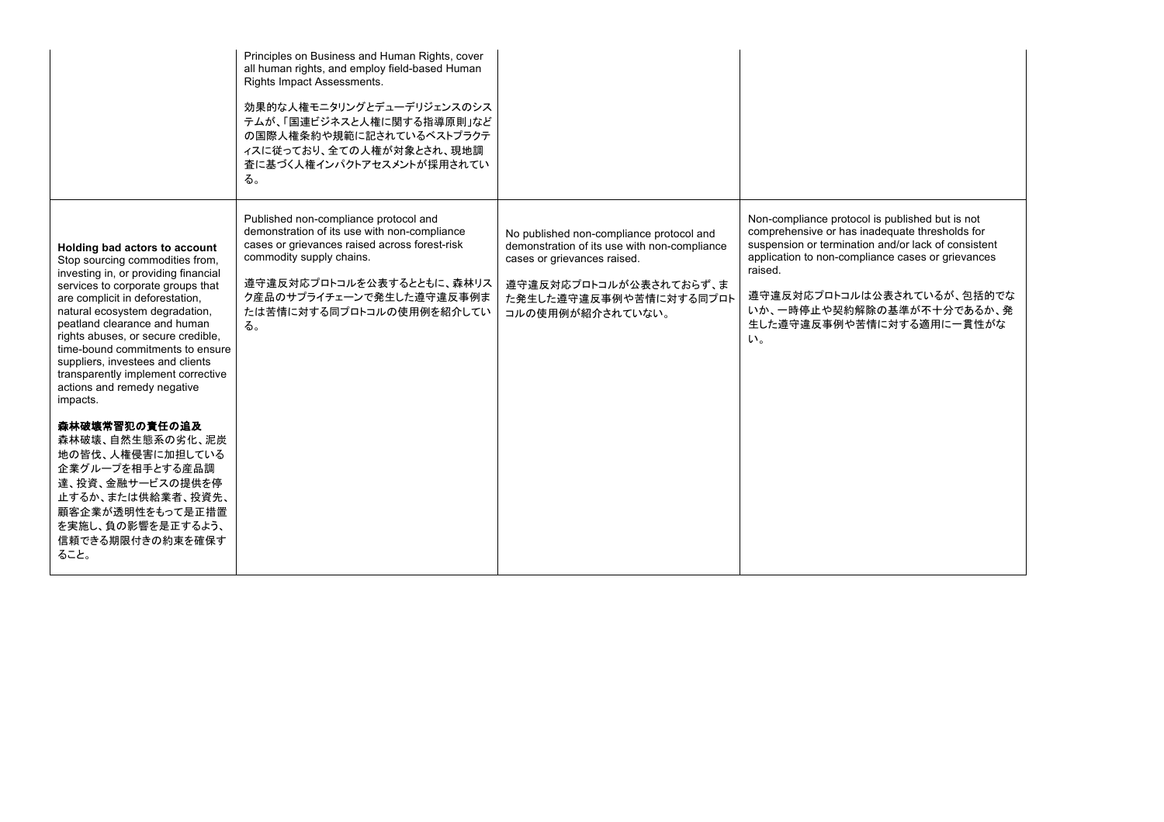|                                                                                                                                                                                                                                                                                                                                                                                                                                                                                                                                                                                                                                             | Principles on Business and Human Rights, cover<br>all human rights, and employ field-based Human<br>Rights Impact Assessments.<br>効果的な人権モニタリングとデューデリジェンスのシス<br>テムが、「国連ビジネスと人権に関する指導原則」など<br>の国際人権条約や規範に記されているベストプラクテ<br>ィスに従っており、全ての人権が対象とされ、現地調<br>査に基づく人権インパクトアセスメントが採用されてい<br>る。 |                                                                                                                                                                                                 |                                                                                                                                                                                                                                                                                                                       |
|---------------------------------------------------------------------------------------------------------------------------------------------------------------------------------------------------------------------------------------------------------------------------------------------------------------------------------------------------------------------------------------------------------------------------------------------------------------------------------------------------------------------------------------------------------------------------------------------------------------------------------------------|-------------------------------------------------------------------------------------------------------------------------------------------------------------------------------------------------------------------------------------------------------------------------------------|-------------------------------------------------------------------------------------------------------------------------------------------------------------------------------------------------|-----------------------------------------------------------------------------------------------------------------------------------------------------------------------------------------------------------------------------------------------------------------------------------------------------------------------|
| Holding bad actors to account<br>Stop sourcing commodities from,<br>investing in, or providing financial<br>services to corporate groups that<br>are complicit in deforestation,<br>natural ecosystem degradation,<br>peatland clearance and human<br>rights abuses, or secure credible,<br>time-bound commitments to ensure<br>suppliers, investees and clients<br>transparently implement corrective<br>actions and remedy negative<br>impacts.<br>森林破壊常習犯の責任の追及<br>森林破壊、自然生態系の劣化、泥炭<br>地の皆伐、人権侵害に加担している<br>企業グループを相手とする産品調<br>達、投資、金融サービスの提供を停<br>止するか、または供給業者、投資先、<br>顧客企業が透明性をもって是正措置<br>を実施し、負の影響を是正するよう、<br>信頼できる期限付きの約束を確保す<br>ること。 | Published non-compliance protocol and<br>demonstration of its use with non-compliance<br>cases or grievances raised across forest-risk<br>commodity supply chains.<br>遵守違反対応プロトコルを公表するとともに、森林リス<br>ク産品のサプライチェーンで発生した遵守違反事例ま<br>たは苦情に対する同プロトコルの使用例を紹介してい<br>る。                       | No published non-compliance protocol and<br>demonstration of its use with non-compliance<br>cases or grievances raised.<br>遵守違反対応プロトコルが公表されておらず、ま<br>た発生した遵守違反事例や苦情に対する同プロト<br>コルの使用例が紹介されていない。 | Non-compliance protocol is published but is not<br>comprehensive or has inadequate thresholds for<br>suspension or termination and/or lack of consistent<br>application to non-compliance cases or grievances<br>raised.<br>遵守違反対応プロトコルは公表されているが、包括的でな<br>いか、一時停止や契約解除の基準が不十分であるか、発<br>生した遵守違反事例や苦情に対する適用に一貫性がな<br>い。 |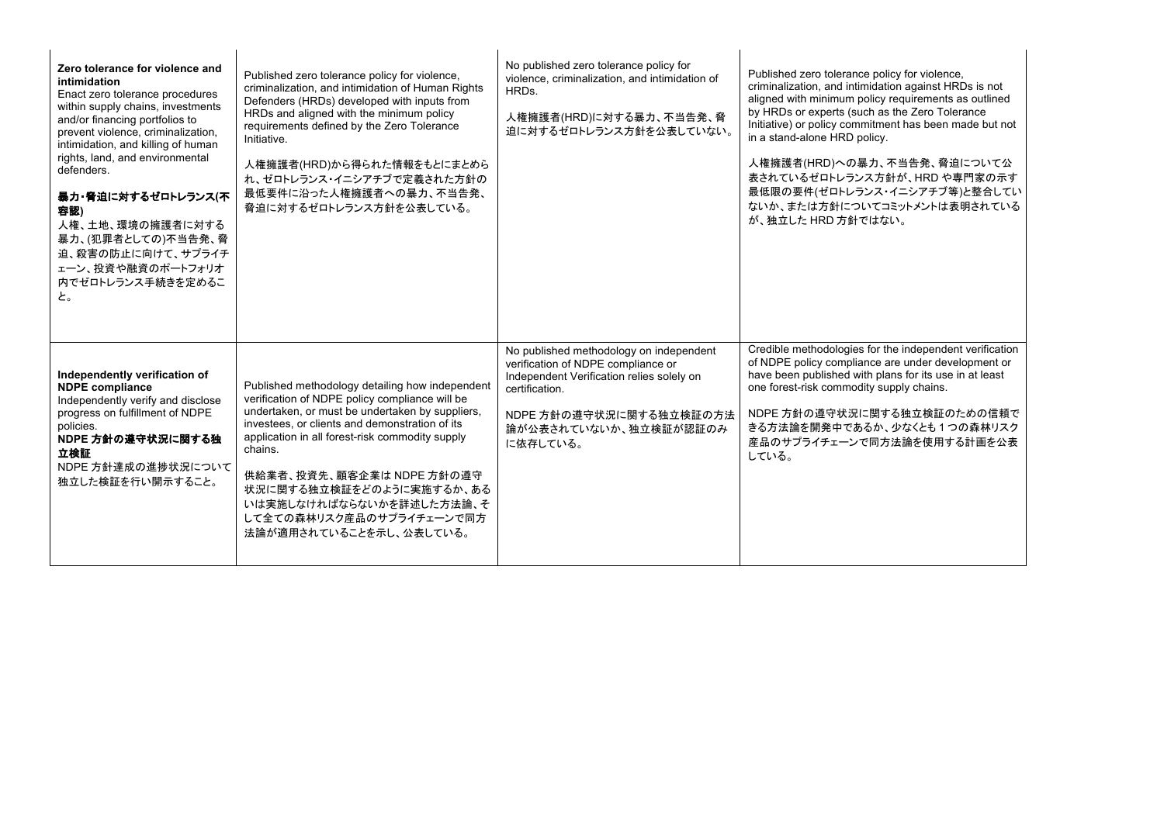| Zero tolerance for violence and<br>intimidation<br>Enact zero tolerance procedures<br>within supply chains, investments<br>and/or financing portfolios to<br>prevent violence, criminalization,<br>intimidation, and killing of human<br>rights, land, and environmental<br>defenders.<br>暴力・脅迫に対するゼロトレランス(不<br>容認)<br>人権、土地、環境の擁護者に対する<br>暴力、(犯罪者としての)不当告発、脅<br>迫、殺害の防止に向けて、サプライチ<br>ェーン、投資や融資のポートフォリオ<br>内でゼロトレランス手続きを定めるこ<br>と。 | Published zero tolerance policy for violence,<br>criminalization, and intimidation of Human Rights<br>Defenders (HRDs) developed with inputs from<br>HRDs and aligned with the minimum policy<br>requirements defined by the Zero Tolerance<br>Initiative.<br>人権擁護者(HRD)から得られた情報をもとにまとめら<br>れ、ゼロトレランス・イニシアチブで定義された方針の<br>最低要件に沿った人権擁護者への暴力、不当告発、<br>脅迫に対するゼロトレランス方針を公表している。                                      | No published zero tolerance policy for<br>violence, criminalization, and intimidation of<br>HRDs.<br>人権擁護者(HRD)に対する暴力、不当告発、脅<br>迫に対するゼロトレランス方針を公表していない。                                                      | Published zero tolerance policy for violence,<br>criminalization, and intimidation against HRDs is not<br>aligned with minimum policy requirements as outlined<br>by HRDs or experts (such as the Zero Tolerance<br>Initiative) or policy commitment has been made but not<br>in a stand-alone HRD policy.<br>人権擁護者(HRD)への暴力、不当告発、脅迫について公<br>表されているゼロトレランス方針が、HRDや専門家の示す<br>最低限の要件(ゼロトレランス・イニシアチブ等)と整合してい<br>ないか、または方針についてコミットメントは表明されている<br>が、独立した HRD 方針ではない。 |
|------------------------------------------------------------------------------------------------------------------------------------------------------------------------------------------------------------------------------------------------------------------------------------------------------------------------------------------------------------------------------------------------------------------------------------|------------------------------------------------------------------------------------------------------------------------------------------------------------------------------------------------------------------------------------------------------------------------------------------------------------------------------------------------------------------------------------------------------------------|--------------------------------------------------------------------------------------------------------------------------------------------------------------------------------------------------------------|-----------------------------------------------------------------------------------------------------------------------------------------------------------------------------------------------------------------------------------------------------------------------------------------------------------------------------------------------------------------------------------------------------------------------------------------------------------------|
| Independently verification of<br><b>NDPE</b> compliance<br>Independently verify and disclose<br>progress on fulfillment of NDPE<br>policies.<br>NDPE 方針の遵守状況に関する独<br>立検証<br>NDPE 方針達成の進捗状況について<br>独立した検証を行い開示すること。                                                                                                                                                                                                                 | Published methodology detailing how independent<br>verification of NDPE policy compliance will be<br>undertaken, or must be undertaken by suppliers,<br>investees, or clients and demonstration of its<br>application in all forest-risk commodity supply<br>chains.<br>供給業者、投資先、顧客企業は NDPE 方針の遵守<br>状況に関する独立検証をどのように実施するか、ある<br>いは実施しなければならないかを詳述した方法論、そ<br>して全ての森林リスク産品のサプライチェーンで同方<br>法論が適用されていることを示し、公表している。 | No published methodology on independent<br>verification of NDPE compliance or<br>Independent Verification relies solely on<br>certification.<br>NDPE 方針の遵守状況に関する独立検証の方法<br>論が公表されていないか、独立検証が認証のみ<br>に依存している。 | Credible methodologies for the independent verification<br>of NDPE policy compliance are under development or<br>have been published with plans for its use in at least<br>one forest-risk commodity supply chains.<br>NDPE 方針の遵守状況に関する独立検証のための信頼で<br>きる方法論を開発中であるか、少なくとも1つの森林リスク<br>産品のサプライチェーンで同方法論を使用する計画を公表<br>している。                                                                                                                                        |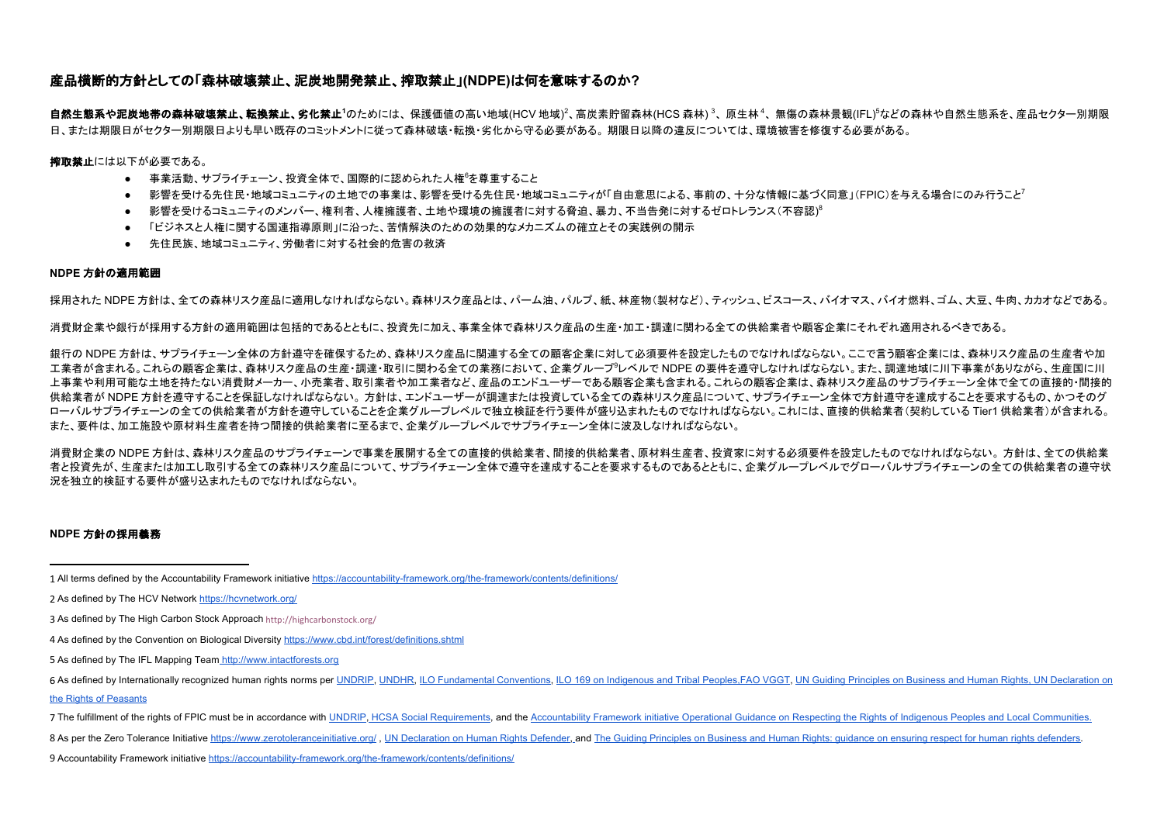## 産品横断的方針としての「森林破壊禁止、泥炭地開発禁止、搾取禁止」**(NDPE)**は何を意味するのか**?**

**自然生態系や泥炭地帯の森林破壊禁止、転換禁止、劣化禁止<sup>1</sup>の**ためには、保護価値の高い地域(HCV 地域)<sup>2</sup>、高炭素貯留森林(HCS 森林) <sup>3</sup>、原生林 <sup>4</sup>、無傷の森林景観(IFL)<sup>5</sup>などの森林や自然生態系を、産品セクター別期限 日、または期限日がセクター別期限日よりも早い既存のコミットメントに従って森林破壊・転換・劣化から守る必要がある。 期限日以降の違反については、環境被害を修復する必要がある。

**搾取禁止**には以下が必要である。

- 事業活動、サプライチェーン、投資全体で、国際的に認められた人権<sup>6</sup>を尊重すること
- 影響を受ける先住民・地域コミュニティの土地での事業は、影響を受ける先住民・地域コミュニティが「自由意思による、事前の、十分な情報に基づく同意」(FPIC)を与える場合にのみ行うこと<sup>7</sup>
- 影響を受けるコミュニティのメンバー、権利者、人権擁護者、土地や環境の擁護者に対する脅迫、暴力、不当告発に対するゼロトレランス(不容認)<sup>8</sup>
- 「ビジネスと人権に関する国連指導原則」に沿った、苦情解決のための効果的なメカニズムの確立とその実践例の開示
- 先住民族、地域コミュニティ、労働者に対する社会的危害の救済

## **NDPE** 方針の適用範囲

採用された NDPE 方針は、全ての森林リスク産品に適用しなければならない。森林リスク産品とは、パーム油、パルプ、紙、林産物(製材など)、ティッシュ、ビスコース、バイオマス、バイオ燃料、ゴム、大豆、牛肉、カカオなどである。

消費財企業や銀行が採用する方針の適用範囲は包括的であるとともに、投資先に加え、事業全体で森林リスク産品の生産・加工・調達に関わる全ての供給業者や顧客企業にそれぞれ適用されるべきである。

銀行の NDPE 方針は、サプライチェーン全体の方針遵守を確保するため、森林リスク産品に関連する全ての顧客企業に対して必須要件を設定したものでなければならない。ここで言う顧客企業には、森林リスク産品の生産者や加 工業者が含まれる。これらの顧客企業は、森林リスク産品の生産・調達・取引に関わる全ての業務において、企業グループ<sup>9</sup>レベルで NDPE の要件を遵守しなければならない。また、調達地域に川下事業がありながら、生産国に川 上事業や利用可能な土地を持たない消費財メーカー、小売業者、取引業者や加工業者など、産品のエンドユーザーである顧客企業も含まれる。これらの顧客企業は、森林リスク産品のサプライチェーン全体で全ての直接的・間接的 供給業者が NDPE 方針を導守することを保証しなければならない。 方針は、エンドユーザーが調達または投資している全ての森林リスク産品について、サプライチェーン全体で方針遵守を達成することを要求するもの、かつそのグ ローバルサプライチェーンの全ての供給業者が方針を遵守していることを企業グループレベルで独立検証を行う要件が盛り込まれたものでなければならない。これには、直接的供給業者(契約している Tier1 供給業者)が含まれる。 また、要件は、加工施設や原材料生産者を持つ間接的供給業者に至るまで、企業グループレベルでサプライチェーン全体に波及しなければならない。

消費財企業の NDPE 方針は、森林リスク産品のサプライチェーンで事業を展開する全ての直接的供給業者、間接的供給業者、原材料生産者、投資家に対する必須要件を設定したものでなければならない。 方針は、全ての供給業 者と投資先が、生産または加工し取引する全ての森林リスク産品について、サプライチェーン全体で遵守を達成することを要求するものであるとともに、企業グループレベルでグローバルサプライチェーンの全ての供給業者の遵守状 況を独立的検証する要件が盛り込まれたものでなければならない。

## **NDPE** 方針の採用義務

1 All terms defined by the Accountability Framework initiative https://accountability-framework.org/the-framework/contents/definitions/

- 3 As defined by The High Carbon Stock Approach http://highcarbonstock.org/
- 4 As defined by the Convention on Biological Diversity https://www.cbd.int/forest/definitions.shtml
- 5 As defined by The IFL Mapping Team http://www.intactforests.org
- 6 As defined by Internationally recognized human rights norms per UNDRIP, UNDHR, ILO Fundamental Conventions, ILO 169 on Indigenous and Tribal Peoples, FAO VGGT, UN Guiding Principles on Business and Human Rights. UN Decla the Rights of Peasants
- 7 The fulfillment of the rights of FPIC must be in accordance with UNDRIP, HCSA Social Requirements, and the Accountability Framework initiative Operational Guidance on Respecting the Rights of Indigenous Peoples and Local
- 8 As per the Zero Tolerance Initiative https://www.zerotoleranceinitiative.org/, UN Declaration on Human Rights Defender, and The Guiding Principles on Business and Human Rights: quidance on ensuring respect for human righ

<sup>2</sup> As defined by The HCV Network https://hcvnetwork.org/

<sup>9</sup> Accountability Framework initiative https://accountability-framework.org/the-framework/contents/definitions/